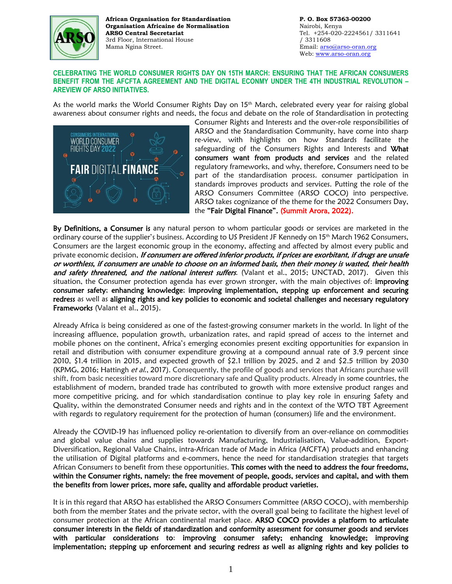

**African Organisation for Standardisation Organisation Africaine de Normalisation ARSO Central Secretariat** 3rd Floor, International House Mama Ngina Street.

**P. O. Box 57363-00200** Nairobi, Kenya Tel. +254-020-2224561/ 3311641 / 3311608 Email[: arso@arso-oran.org](mailto:arso@arso-oran.org) Web: [www.arso-oran.org](http://www.arso-oran.org/)

## **CELEBRATING THE WORLD CONSUMER RIGHTS DAY ON 15TH MARCH: ENSURING THAT THE AFRICAN CONSUMERS BENEFIT FROM THE AFCFTA AGREEMENT AND THE DIGITAL ECONMY UNDER THE 4TH INDUSTRIAL REVOLUTION – AREVIEW OF ARSO INITIATIVES.**

As the world marks the World Consumer Rights Day on 15<sup>th</sup> March, celebrated every year for raising global awareness about consumer rights and needs, the focus and debate on the role of Standardisation in protecting



Consumer Rights and Interests and the over-role responsibilities of ARSO and the Standardisation Community, have come into sharp re-view, with highlights on how Standards facilitate the safeguarding of the Consumers Rights and Interests and What consumers want from products and services and the related regulatory frameworks, and why, therefore, Consumers need to be part of the standardisation process. consumer participation in standards improves products and services. Putting the role of the ARSO Consumers Committee (ARSO COCO) into perspective. ARSO takes cognizance of the theme for the 2022 Consumers Day, the "Fair Digital Finance". (Summit Arora, 2022).

By Definitions, a Consumer is any natural person to whom particular goods or services are marketed in the ordinary course of the supplier's business. According to US President JF Kennedy on 15th March 1962 Consumers, Consumers are the largest economic group in the economy, affecting and affected by almost every public and private economic decision, If consumers are offered inferior products, if prices are exorbitant, if drugs are unsafe or worthless, if consumers are unable to choose on an informed basis, then their money is wasted, their health and safety threatened, and the national interest suffers. (Valant et al., 2015; UNCTAD, 2017). Given this situation, the Consumer protection agenda has ever grown stronger, with the main objectives of: improving consumer safety; enhancing knowledge; improving implementation, stepping up enforcement and securing redress as well as aligning rights and key policies to economic and societal challenges and necessary regulatory Frameworks (Valant et al., 2015).

Already Africa is being considered as one of the fastest-growing consumer markets in the world. In light of the increasing affluence, population growth, urbanization rates, and rapid spread of access to the internet and mobile phones on the continent, Africa's emerging economies present exciting opportunities for expansion in retail and distribution with consumer expenditure growing at a compound annual rate of 3.9 percent since 2010, \$1.4 trillion in 2015, and expected growth of \$2.1 trillion by 2025, and 2 and \$2.5 trillion by 2030 (KPMG, 2016; Hattingh et al., 2017). Consequently, the profile of goods and services that Africans purchase will shift, from basic necessities toward more discretionary safe and Quality products. Already in some countries, the establishment of modern, branded trade has contributed to growth with more extensive product ranges and more competitive pricing, and for which standardisation continue to play key role in ensuring Safety and Quality, within the demonstrated Consumer needs and rights and in the context of the WTO TBT Agreement with regards to regulatory requirement for the protection of human (consumers) life and the environment.

Already the COVID-19 has influenced policy re-orientation to diversify from an over-reliance on commodities and global value chains and supplies towards Manufacturing, Industrialisation, Value-addition, Export-Diversification, Regional Value Chains, intra-African trade of Made in Africa (AfCFTA) products and enhancing the utilisation of Digital platforms and e-commers, hence the need for standardisation strategies that targets African Consumers to benefit from these opportunities. This comes with the need to address the four freedoms, within the Consumer rights, namely: the free movement of people, goods, services and capital, and with them the benefits from lower prices, more safe, quality and affordable product varieties.

It is in this regard that ARSO has established the ARSO Consumers Committee (ARSO COCO), with membership both from the member States and the private sector, with the overall goal being to facilitate the highest level of consumer protection at the African continental market place. ARSO COCO provides a platform to articulate consumer interests in the fields of standardization and conformity assessment for consumer goods and services with particular considerations to: improving consumer safety; enhancing knowledge; improving implementation; stepping up enforcement and securing redress as well as aligning rights and key policies to